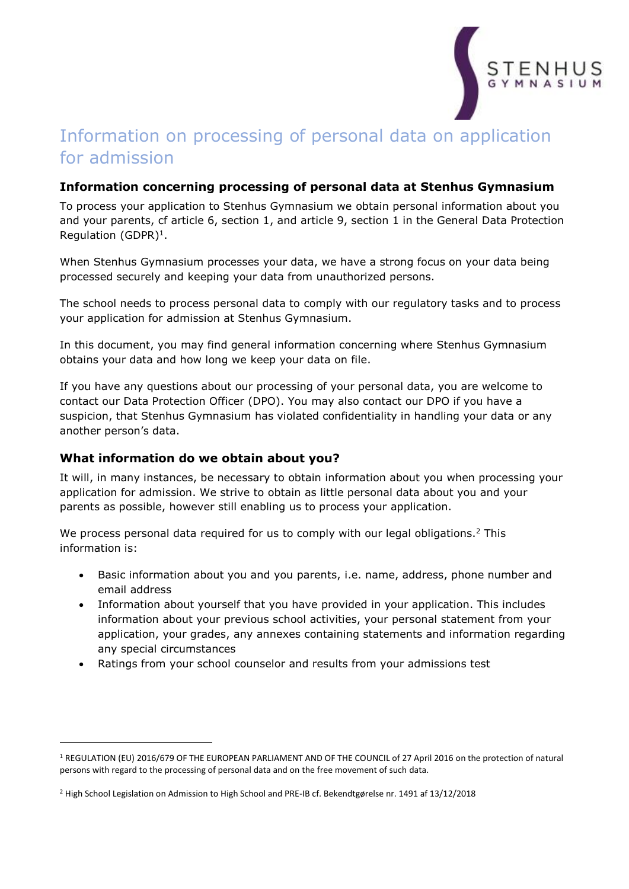

# Information on processing of personal data on application for admission

## **Information concerning processing of personal data at Stenhus Gymnasium**

To process your application to Stenhus Gymnasium we obtain personal information about you and your parents, cf article 6, section 1, and article 9, section 1 in the General Data Protection Regulation (GDPR) $<sup>1</sup>$ .</sup>

When Stenhus Gymnasium processes your data, we have a strong focus on your data being processed securely and keeping your data from unauthorized persons.

The school needs to process personal data to comply with our regulatory tasks and to process your application for admission at Stenhus Gymnasium.

In this document, you may find general information concerning where Stenhus Gymnasium obtains your data and how long we keep your data on file.

If you have any questions about our processing of your personal data, you are welcome to contact our Data Protection Officer (DPO). You may also contact our DPO if you have a suspicion, that Stenhus Gymnasium has violated confidentiality in handling your data or any another person's data.

#### **What information do we obtain about you?**

 $\overline{a}$ 

It will, in many instances, be necessary to obtain information about you when processing your application for admission. We strive to obtain as little personal data about you and your parents as possible, however still enabling us to process your application.

We process personal data required for us to comply with our legal obligations.<sup>2</sup> This information is:

- Basic information about you and you parents, i.e. name, address, phone number and email address
- Information about yourself that you have provided in your application. This includes information about your previous school activities, your personal statement from your application, your grades, any annexes containing statements and information regarding any special circumstances
- Ratings from your school counselor and results from your admissions test

<sup>1</sup> REGULATION (EU) 2016/679 OF THE EUROPEAN PARLIAMENT AND OF THE COUNCIL of 27 April 2016 on the protection of natural persons with regard to the processing of personal data and on the free movement of such data.

<sup>2</sup> High School Legislation on Admission to High School and PRE-IB cf. Bekendtgørelse nr. 1491 af 13/12/2018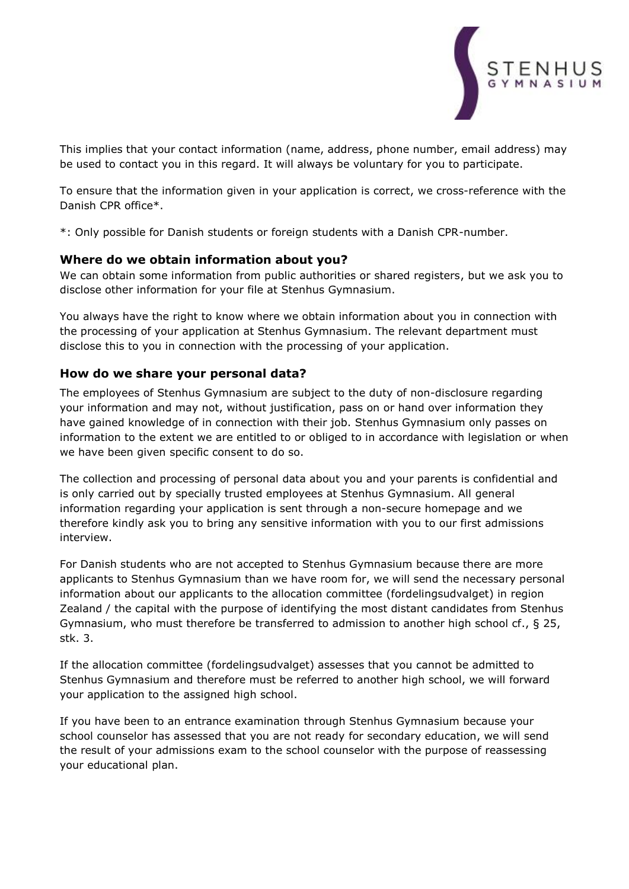

This implies that your contact information (name, address, phone number, email address) may be used to contact you in this regard. It will always be voluntary for you to participate.

To ensure that the information given in your application is correct, we cross-reference with the Danish CPR office\*.

\*: Only possible for Danish students or foreign students with a Danish CPR-number.

#### **Where do we obtain information about you?**

We can obtain some information from public authorities or shared registers, but we ask you to disclose other information for your file at Stenhus Gymnasium.

You always have the right to know where we obtain information about you in connection with the processing of your application at Stenhus Gymnasium. The relevant department must disclose this to you in connection with the processing of your application.

## **How do we share your personal data?**

The employees of Stenhus Gymnasium are subject to the duty of non-disclosure regarding your information and may not, without justification, pass on or hand over information they have gained knowledge of in connection with their job. Stenhus Gymnasium only passes on information to the extent we are entitled to or obliged to in accordance with legislation or when we have been given specific consent to do so.

The collection and processing of personal data about you and your parents is confidential and is only carried out by specially trusted employees at Stenhus Gymnasium. All general information regarding your application is sent through a non-secure homepage and we therefore kindly ask you to bring any sensitive information with you to our first admissions interview.

For Danish students who are not accepted to Stenhus Gymnasium because there are more applicants to Stenhus Gymnasium than we have room for, we will send the necessary personal information about our applicants to the allocation committee (fordelingsudvalget) in region Zealand / the capital with the purpose of identifying the most distant candidates from Stenhus Gymnasium, who must therefore be transferred to admission to another high school cf., § 25, stk. 3.

If the allocation committee (fordelingsudvalget) assesses that you cannot be admitted to Stenhus Gymnasium and therefore must be referred to another high school, we will forward your application to the assigned high school.

If you have been to an entrance examination through Stenhus Gymnasium because your school counselor has assessed that you are not ready for secondary education, we will send the result of your admissions exam to the school counselor with the purpose of reassessing your educational plan.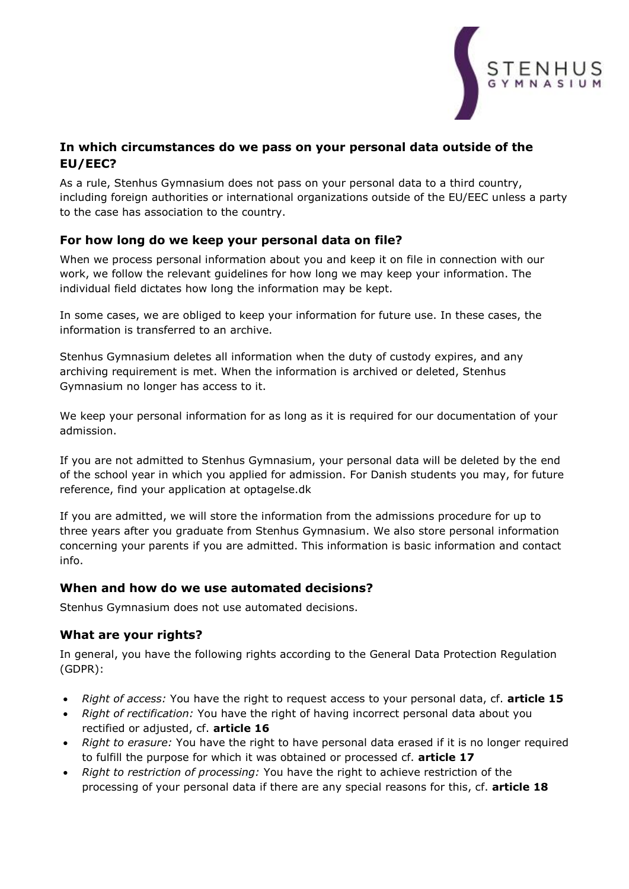

# **In which circumstances do we pass on your personal data outside of the EU/EEC?**

As a rule, Stenhus Gymnasium does not pass on your personal data to a third country, including foreign authorities or international organizations outside of the EU/EEC unless a party to the case has association to the country.

## **For how long do we keep your personal data on file?**

When we process personal information about you and keep it on file in connection with our work, we follow the relevant guidelines for how long we may keep your information. The individual field dictates how long the information may be kept.

In some cases, we are obliged to keep your information for future use. In these cases, the information is transferred to an archive.

Stenhus Gymnasium deletes all information when the duty of custody expires, and any archiving requirement is met. When the information is archived or deleted, Stenhus Gymnasium no longer has access to it.

We keep your personal information for as long as it is required for our documentation of your admission.

If you are not admitted to Stenhus Gymnasium, your personal data will be deleted by the end of the school year in which you applied for admission. For Danish students you may, for future reference, find your application at optagelse.dk

If you are admitted, we will store the information from the admissions procedure for up to three years after you graduate from Stenhus Gymnasium. We also store personal information concerning your parents if you are admitted. This information is basic information and contact info.

## **When and how do we use automated decisions?**

Stenhus Gymnasium does not use automated decisions.

# **What are your rights?**

In general, you have the following rights according to the General Data Protection Regulation (GDPR):

- *Right of access:* You have the right to request access to your personal data, cf. **article 15**
- *Right of rectification:* You have the right of having incorrect personal data about you rectified or adjusted, cf. **article 16**
- *Right to erasure:* You have the right to have personal data erased if it is no longer required to fulfill the purpose for which it was obtained or processed cf. **article 17**
- *Right to restriction of processing:* You have the right to achieve restriction of the processing of your personal data if there are any special reasons for this, cf. **article 18**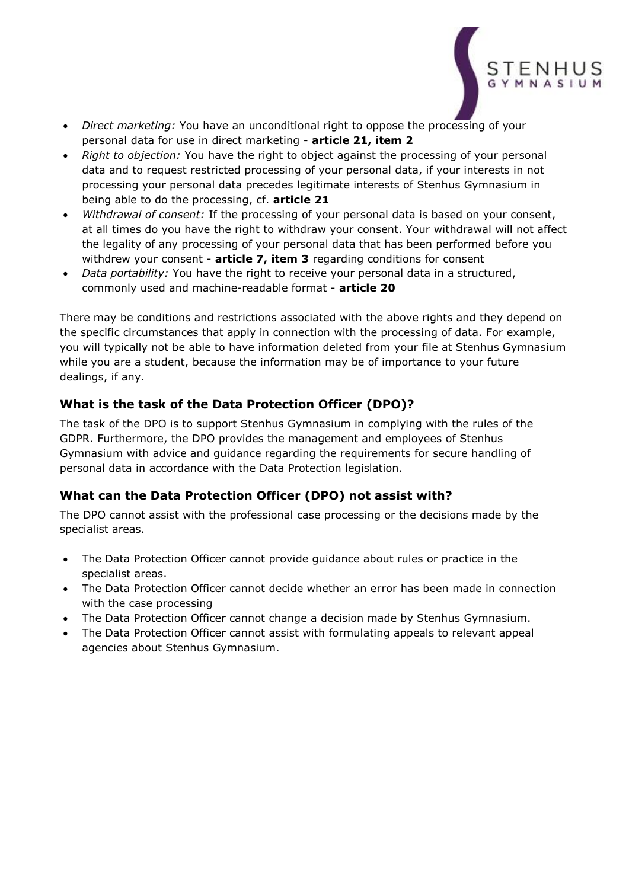

- *Direct marketing:* You have an unconditional right to oppose the processing of your personal data for use in direct marketing - **article 21, item 2**
- *Right to objection:* You have the right to object against the processing of your personal data and to request restricted processing of your personal data, if your interests in not processing your personal data precedes legitimate interests of Stenhus Gymnasium in being able to do the processing, cf. **article 21**
- *Withdrawal of consent:* If the processing of your personal data is based on your consent, at all times do you have the right to withdraw your consent. Your withdrawal will not affect the legality of any processing of your personal data that has been performed before you withdrew your consent - **article 7, item 3** regarding conditions for consent
- *Data portability:* You have the right to receive your personal data in a structured, commonly used and machine-readable format - **article 20**

There may be conditions and restrictions associated with the above rights and they depend on the specific circumstances that apply in connection with the processing of data. For example, you will typically not be able to have information deleted from your file at Stenhus Gymnasium while you are a student, because the information may be of importance to your future dealings, if any.

# **What is the task of the Data Protection Officer (DPO)?**

The task of the DPO is to support Stenhus Gymnasium in complying with the rules of the GDPR. Furthermore, the DPO provides the management and employees of Stenhus Gymnasium with advice and guidance regarding the requirements for secure handling of personal data in accordance with the Data Protection legislation.

# **What can the Data Protection Officer (DPO) not assist with?**

The DPO cannot assist with the professional case processing or the decisions made by the specialist areas.

- The Data Protection Officer cannot provide guidance about rules or practice in the specialist areas.
- The Data Protection Officer cannot decide whether an error has been made in connection with the case processing
- The Data Protection Officer cannot change a decision made by Stenhus Gymnasium.
- The Data Protection Officer cannot assist with formulating appeals to relevant appeal agencies about Stenhus Gymnasium.